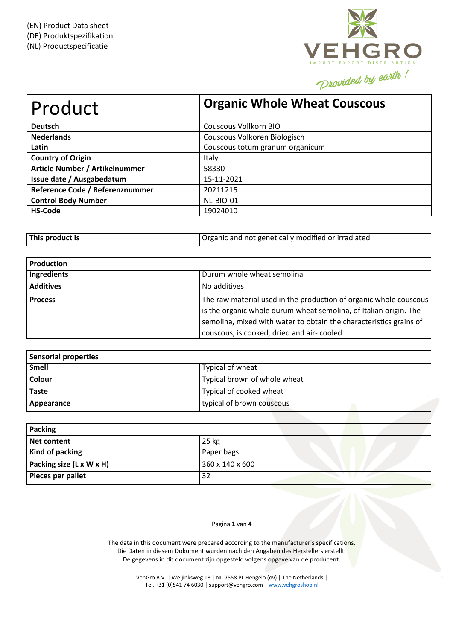

| Product                         | <b>Organic Whole Wheat Couscous</b> |
|---------------------------------|-------------------------------------|
| <b>Deutsch</b>                  | Couscous Vollkorn BIO               |
| <b>Nederlands</b>               | Couscous Volkoren Biologisch        |
| Latin                           | Couscous totum granum organicum     |
| <b>Country of Origin</b>        | Italy                               |
| Article Number / Artikelnummer  | 58330                               |
| Issue date / Ausgabedatum       | 15-11-2021                          |
| Reference Code / Referenznummer | 20211215                            |
| <b>Control Body Number</b>      | NL-BIO-01                           |
| <b>HS-Code</b>                  | 19024010                            |

| This product is | Organic and not genetically modified or irradiated |
|-----------------|----------------------------------------------------|
|-----------------|----------------------------------------------------|

| <b>Production</b> |                                                                                                                                                                                                                                                            |
|-------------------|------------------------------------------------------------------------------------------------------------------------------------------------------------------------------------------------------------------------------------------------------------|
| Ingredients       | Durum whole wheat semolina                                                                                                                                                                                                                                 |
| <b>Additives</b>  | No additives                                                                                                                                                                                                                                               |
| <b>Process</b>    | The raw material used in the production of organic whole couscous<br>is the organic whole durum wheat semolina, of Italian origin. The<br>semolina, mixed with water to obtain the characteristics grains of<br>couscous, is cooked, dried and air-cooled. |

| Sensorial properties |                              |
|----------------------|------------------------------|
| Smell                | Typical of wheat             |
| <b>Colour</b>        | Typical brown of whole wheat |
| <b>Taste</b>         | Typical of cooked wheat      |
| Appearance           | typical of brown couscous    |

| Packing                  |                 |
|--------------------------|-----------------|
| Net content              | 25 kg           |
| Kind of packing          | Paper bags      |
| Packing size (L x W x H) | 360 x 140 x 600 |
| Pieces per pallet        | 32              |

Pagina **1** van **4**

The data in this document were prepared according to the manufacturer's specifications. Die Daten in diesem Dokument wurden nach den Angaben des Herstellers erstellt. De gegevens in dit document zijn opgesteld volgens opgave van de producent.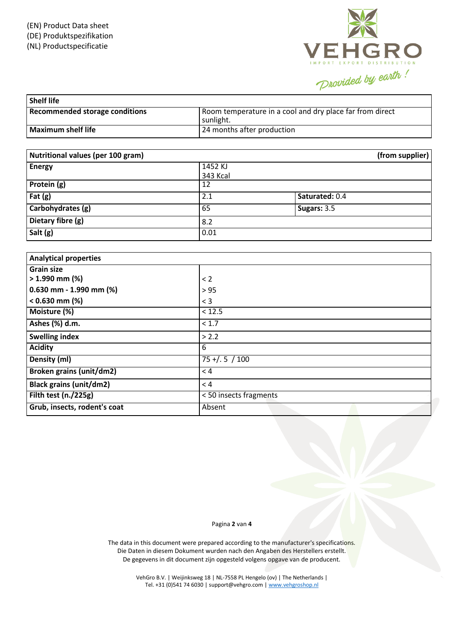

| <b>Shelf life</b>                     |                                                                       |
|---------------------------------------|-----------------------------------------------------------------------|
| <b>Recommended storage conditions</b> | Room temperature in a cool and dry place far from direct<br>sunlight. |
| Maximum shelf life                    | 24 months after production                                            |

| Nutritional values (per 100 gram) |                 | (from supplier) |
|-----------------------------------|-----------------|-----------------|
| <b>Energy</b>                     | 1452 KJ         |                 |
|                                   | <b>343 Kcal</b> |                 |
| Protein (g)                       | 12              |                 |
| Fat $(g)$                         | 2.1             | Saturated: 0.4  |
| Carbohydrates (g)                 | 65              | Sugars: 3.5     |
| Dietary fibre (g)                 | 8.2             |                 |
| Salt (g)                          | 0.01            |                 |

| <b>Analytical properties</b>    |                        |
|---------------------------------|------------------------|
| <b>Grain size</b>               |                        |
| $> 1.990$ mm (%)                | < 2                    |
| $0.630$ mm - 1.990 mm (%)       | > 95                   |
| $< 0.630$ mm (%)                | $<$ 3                  |
| Moisture (%)                    | < 12.5                 |
| Ashes (%) d.m.                  | < 1.7                  |
| <b>Swelling index</b>           | > 2.2                  |
| <b>Acidity</b>                  | 6                      |
| Density (ml)                    | $75 + . 5 / 100$       |
| <b>Broken grains (unit/dm2)</b> | < 4                    |
| <b>Black grains (unit/dm2)</b>  | < 4                    |
| Filth test (n./225g)            | < 50 insects fragments |
| Grub, insects, rodent's coat    | Absent                 |

## Pagina **2** van **4**

The data in this document were prepared according to the manufacturer's specifications. Die Daten in diesem Dokument wurden nach den Angaben des Herstellers erstellt. De gegevens in dit document zijn opgesteld volgens opgave van de producent.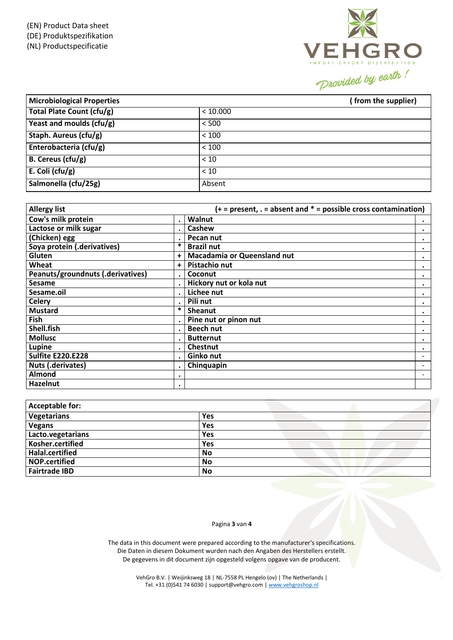(EN) Product Data sheet (DE) Produktspezifikation (NL) Productspecificatie



| <b>Microbiological Properties</b> |          | (from the supplier) |
|-----------------------------------|----------|---------------------|
| Total Plate Count (cfu/g)         | < 10.000 |                     |
| Yeast and moulds $(cfu/g)$        | < 500    |                     |
| Staph. Aureus (cfu/g)             | < 100    |                     |
| Enterobacteria (cfu/g)            | < 100    |                     |
| $B.$ Cereus (cfu/g)               | < 10     |                     |
| E. Coli (cfu/g)                   | < 10     |                     |
| Salmonella (cfu/25g)              | Absent   |                     |

| <b>Allergy list</b>               |           | $(+)$ = present, . = absent and $*$ = possible cross contamination) |                          |
|-----------------------------------|-----------|---------------------------------------------------------------------|--------------------------|
| Cow's milk protein                | $\bullet$ | Walnut                                                              | $\bullet$                |
| Lactose or milk sugar             |           | Cashew                                                              | ٠                        |
| $\overline{(}$ Chicken) egg       | $\bullet$ | Pecan nut                                                           | ٠                        |
| Soya protein (.derivatives)       | *         | <b>Brazil nut</b>                                                   | ٠                        |
| Gluten                            | +         | <b>Macadamia or Queensland nut</b>                                  | ٠                        |
| Wheat                             | $\ddot{}$ | Pistachio nut                                                       | ٠                        |
| Peanuts/groundnuts (.derivatives) |           | Coconut                                                             | $\bullet$                |
| Sesame                            |           | Hickory nut or kola nut                                             |                          |
| Sesame.oil                        |           | Lichee nut                                                          | ٠                        |
| <b>Celery</b>                     | $\cdot$   | Pili nut                                                            | ٠                        |
| <b>Mustard</b>                    | *         | Sheanut                                                             | ٠                        |
| Fish                              |           | Pine nut or pinon nut                                               |                          |
| Shell.fish                        | $\cdot$   | <b>Beech nut</b>                                                    |                          |
| <b>Mollusc</b>                    |           | <b>Butternut</b>                                                    | ٠                        |
| Lupine                            |           | <b>Chestnut</b>                                                     | ٠                        |
| <b>Sulfite E220.E228</b>          | $\cdot$   | Ginko nut                                                           |                          |
| Nuts (.derivates)                 |           | Chinquapin                                                          |                          |
| Almond                            | ٠         |                                                                     | $\overline{\phantom{0}}$ |
| Hazelnut                          | ٠         |                                                                     |                          |

| <b>Acceptable for:</b> |            |
|------------------------|------------|
| Vegetarians            | <b>Yes</b> |
| <b>Vegans</b>          | Yes        |
| Lacto.vegetarians      | Yes        |
| Kosher.certified       | Yes        |
| Halal.certified        | No         |
| <b>NOP.certified</b>   | No         |
| <b>Fairtrade IBD</b>   | No         |

## Pagina **3** van **4**

The data in this document were prepared according to the manufacturer's specifications. Die Daten in diesem Dokument wurden nach den Angaben des Herstellers erstellt. De gegevens in dit document zijn opgesteld volgens opgave van de producent.